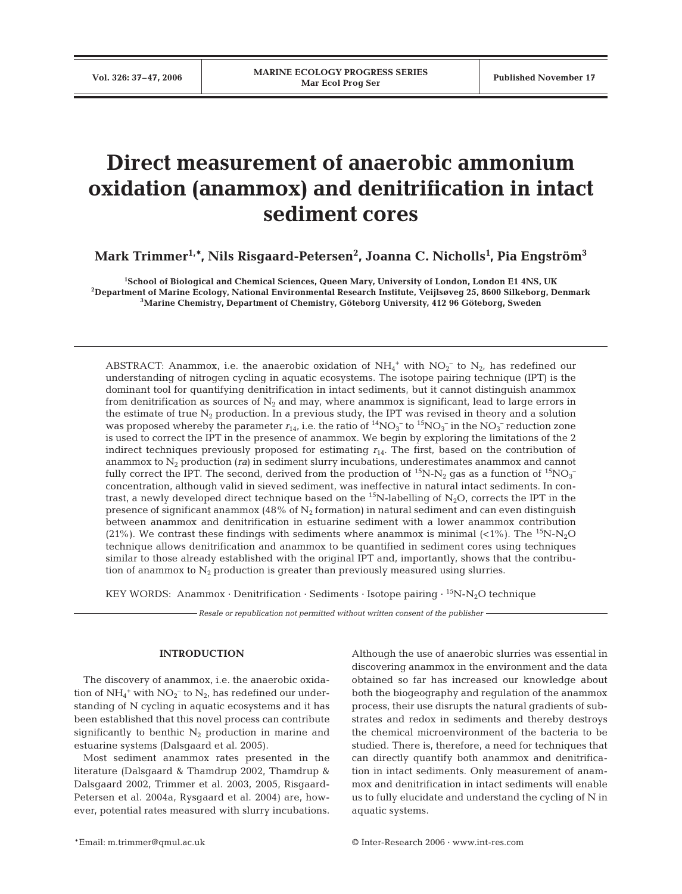# **Direct measurement of anaerobic ammonium oxidation (anammox) and denitrification in intact sediment cores**

**Mark Trimmer1,\*, Nils Risgaard-Petersen2 , Joanna C. Nicholls1 , Pia Engström3**

**1 School of Biological and Chemical Sciences, Queen Mary, University of London, London E1 4NS, UK 2Department of Marine Ecology, National Environmental Research Institute, Veijlsøveg 25, 8600 Silkeborg, Denmark 3Marine Chemistry, Department of Chemistry, Göteborg University, 412 96 Göteborg, Sweden**

ABSTRACT: Anammox, i.e. the anaerobic oxidation of  $NH_4^+$  with  $NO_2^-$  to  $N_2$ , has redefined our understanding of nitrogen cycling in aquatic ecosystems. The isotope pairing technique (IPT) is the dominant tool for quantifying denitrification in intact sediments, but it cannot distinguish anammox from denitrification as sources of  $N_2$  and may, where anammox is significant, lead to large errors in the estimate of true  $N_2$  production. In a previous study, the IPT was revised in theory and a solution was proposed whereby the parameter  $r_{14}$ , i.e. the ratio of  $\rm ^{14}NO_3^-$  to  $\rm ^{15}NO_3^-$  in the  $NO_3^-$  reduction zone is used to correct the IPT in the presence of anammox. We begin by exploring the limitations of the 2 indirect techniques previously proposed for estimating *r*14. The first, based on the contribution of anammox to  $N_2$  production (*ra*) in sediment slurry incubations, underestimates anammox and cannot fully correct the IPT. The second, derived from the production of  $^{15}{\rm N}$ - ${\rm N}_2$  gas as a function of  $^{15}{\rm NO}_3^$ concentration, although valid in sieved sediment, was ineffective in natural intact sediments. In contrast, a newly developed direct technique based on the <sup>15</sup>N-labelling of N<sub>2</sub>O, corrects the IPT in the presence of significant anammox (48% of  $N_2$  formation) in natural sediment and can even distinguish between anammox and denitrification in estuarine sediment with a lower anammox contribution (21%). We contrast these findings with sediments where anammox is minimal  $\left($  <1%). The <sup>15</sup>N-N<sub>2</sub>O technique allows denitrification and anammox to be quantified in sediment cores using techniques similar to those already established with the original IPT and, importantly, shows that the contribution of anammox to  $N_2$  production is greater than previously measured using slurries.

KEY WORDS: Anammox · Denitrification · Sediments · Isotope pairing ·  $^{15}N\text{-}N_2O$  technique

*Resale or republication not permitted without written consent of the publisher*

## **INTRODUCTION**

The discovery of anammox, i.e. the anaerobic oxidation of  $NH_4^+$  with  $NO_2^-$  to  $N_2$ , has redefined our understanding of N cycling in aquatic ecosystems and it has been established that this novel process can contribute significantly to benthic  $N_2$  production in marine and estuarine systems (Dalsgaard et al. 2005).

Most sediment anammox rates presented in the literature (Dalsgaard & Thamdrup 2002, Thamdrup & Dalsgaard 2002, Trimmer et al. 2003, 2005, Risgaard-Petersen et al. 2004a, Rysgaard et al. 2004) are, however, potential rates measured with slurry incubations. Although the use of anaerobic slurries was essential in discovering anammox in the environment and the data obtained so far has increased our knowledge about both the biogeography and regulation of the anammox process, their use disrupts the natural gradients of substrates and redox in sediments and thereby destroys the chemical microenvironment of the bacteria to be studied. There is, therefore, a need for techniques that can directly quantify both anammox and denitrification in intact sediments. Only measurement of anammox and denitrification in intact sediments will enable us to fully elucidate and understand the cycling of N in aquatic systems.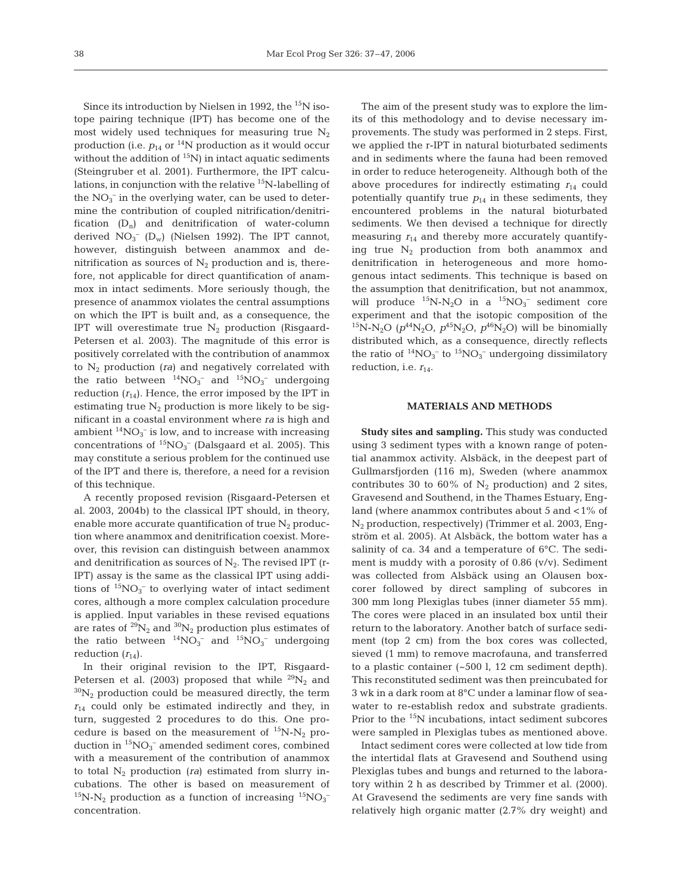Since its introduction by Nielsen in 1992, the  $15N$  isotope pairing technique (IPT) has become one of the most widely used techniques for measuring true  $N_2$ production (i.e.  $p_{14}$  or <sup>14</sup>N production as it would occur without the addition of  $^{15}N$ ) in intact aquatic sediments (Steingruber et al. 2001). Furthermore, the IPT calculations, in conjunction with the relative <sup>15</sup>N-labelling of the  $NO<sub>3</sub><sup>-</sup>$  in the overlying water, can be used to determine the contribution of coupled nitrification/denitrification  $(D_n)$  and denitrification of water-column derived  $NO_3^-$  ( $D_w$ ) (Nielsen 1992). The IPT cannot, however, distinguish between anammox and denitrification as sources of  $N_2$  production and is, therefore, not applicable for direct quantification of anammox in intact sediments. More seriously though, the presence of anammox violates the central assumptions on which the IPT is built and, as a consequence, the IPT will overestimate true  $N_2$  production (Risgaard-Petersen et al. 2003). The magnitude of this error is positively correlated with the contribution of anammox to  $N_2$  production (*ra*) and negatively correlated with the ratio between  ${}^{14}NO_3^-$  and  ${}^{15}NO_3^-$  undergoing reduction  $(r_{14})$ . Hence, the error imposed by the IPT in estimating true  $N_2$  production is more likely to be significant in a coastal environment where *ra* is high and ambient  ${}^{14}NO_3^-$  is low, and to increase with increasing concentrations of  ${}^{15}NO_3^-$  (Dalsgaard et al. 2005). This may constitute a serious problem for the continued use of the IPT and there is, therefore, a need for a revision of this technique.

A recently proposed revision (Risgaard-Petersen et al. 2003, 2004b) to the classical IPT should, in theory, enable more accurate quantification of true  $N_2$  production where anammox and denitrification coexist. Moreover, this revision can distinguish between anammox and denitrification as sources of  $N<sub>2</sub>$ . The revised IPT (r-IPT) assay is the same as the classical IPT using additions of  ${}^{15}NO_3^-$  to overlying water of intact sediment cores, although a more complex calculation procedure is applied. Input variables in these revised equations are rates of  $^{29}N_2$  and  $^{30}N_2$  production plus estimates of the ratio between  ${}^{14}NO_3^-$  and  ${}^{15}NO_3^-$  undergoing reduction  $(r_{14})$ .

In their original revision to the IPT, Risgaard-Petersen et al. (2003) proposed that while  $^{29}N_2$  and  $30N<sub>2</sub>$  production could be measured directly, the term  $r_{14}$  could only be estimated indirectly and they, in turn, suggested 2 procedures to do this. One procedure is based on the measurement of  ${}^{15}N-N_2$  production in  ${}^{15}NO_3^-$  amended sediment cores, combined with a measurement of the contribution of anammox to total  $N_2$  production (*ra*) estimated from slurry incubations. The other is based on measurement of  $^{15}N-N_2$  production as a function of increasing  $^{15}NO_3^$ concentration.

The aim of the present study was to explore the limits of this methodology and to devise necessary improvements. The study was performed in 2 steps. First, we applied the r-IPT in natural bioturbated sediments and in sediments where the fauna had been removed in order to reduce heterogeneity. Although both of the above procedures for indirectly estimating  $r_{14}$  could potentially quantify true  $p_{14}$  in these sediments, they encountered problems in the natural bioturbated sediments. We then devised a technique for directly measuring  $r_{14}$  and thereby more accurately quantifying true  $N_2$  production from both anammox and denitrification in heterogeneous and more homogenous intact sediments. This technique is based on the assumption that denitrification, but not anammox, will produce  ${}^{15}N$ - $N_2O$  in a  ${}^{15}NO_3^-$  sediment core experiment and that the isotopic composition of the <sup>15</sup>N-N<sub>2</sub>O ( $p^{44}N_2O$ ,  $p^{45}N_2O$ ,  $p^{46}N_2O$ ) will be binomially distributed which, as a consequence, directly reflects the ratio of  $\binom{14}{3}$  to  $\binom{15}{3}$  undergoing dissimilatory reduction, i.e.  $r_{14}$ .

## **MATERIALS AND METHODS**

**Study sites and sampling.** This study was conducted using 3 sediment types with a known range of potential anammox activity. Alsbäck, in the deepest part of Gullmarsfjorden (116 m), Sweden (where anammox contributes 30 to 60% of  $N_2$  production) and 2 sites, Gravesend and Southend, in the Thames Estuary, England (where anammox contributes about 5 and <1% of  $N_2$  production, respectively) (Trimmer et al. 2003, Engström et al. 2005). At Alsbäck, the bottom water has a salinity of ca. 34 and a temperature of 6°C. The sediment is muddy with a porosity of 0.86 (v/v). Sediment was collected from Alsbäck using an Olausen boxcorer followed by direct sampling of subcores in 300 mm long Plexiglas tubes (inner diameter 55 mm). The cores were placed in an insulated box until their return to the laboratory. Another batch of surface sediment (top 2 cm) from the box cores was collected, sieved (1 mm) to remove macrofauna, and transferred to a plastic container (~500 l, 12 cm sediment depth). This reconstituted sediment was then preincubated for 3 wk in a dark room at 8°C under a laminar flow of seawater to re-establish redox and substrate gradients. Prior to the <sup>15</sup>N incubations, intact sediment subcores were sampled in Plexiglas tubes as mentioned above.

Intact sediment cores were collected at low tide from the intertidal flats at Gravesend and Southend using Plexiglas tubes and bungs and returned to the laboratory within 2 h as described by Trimmer et al. (2000). At Gravesend the sediments are very fine sands with relatively high organic matter (2.7% dry weight) and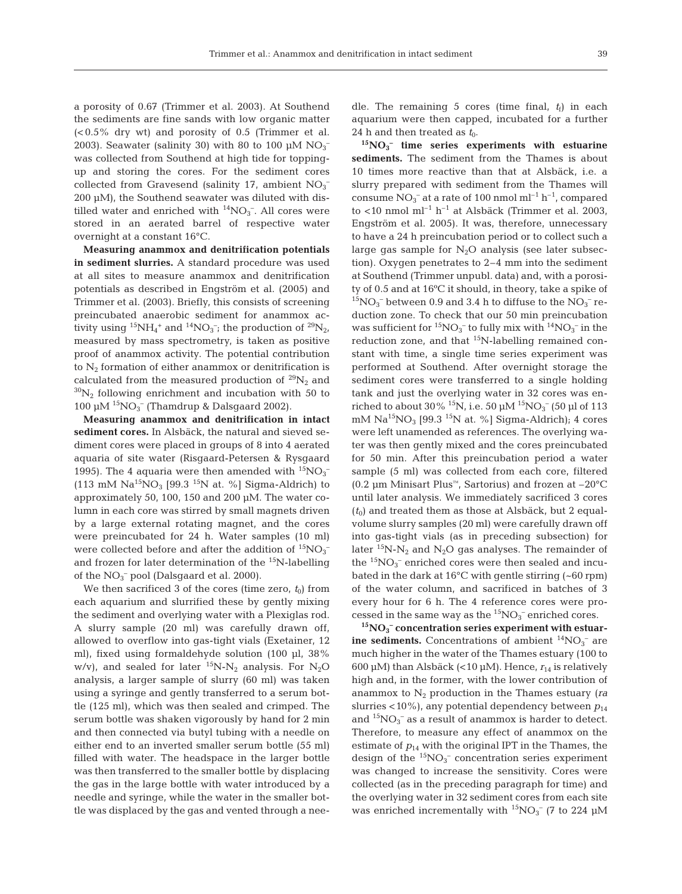a porosity of 0.67 (Trimmer et al. 2003). At Southend the sediments are fine sands with low organic matter (< 0.5% dry wt) and porosity of 0.5 (Trimmer et al. 2003). Seawater (salinity 30) with 80 to 100  $\mu$ M NO<sub>3</sub><sup>-</sup> was collected from Southend at high tide for toppingup and storing the cores. For the sediment cores collected from Gravesend (salinity 17, ambient  $NO<sub>3</sub><sup>-1</sup>$ 200 µM), the Southend seawater was diluted with distilled water and enriched with  $\binom{14}{9}$ , All cores were stored in an aerated barrel of respective water overnight at a constant 16°C.

**Measuring anammox and denitrification potentials in sediment slurries.** A standard procedure was used at all sites to measure anammox and denitrification potentials as described in Engström et al. (2005) and Trimmer et al. (2003). Briefly, this consists of screening preincubated anaerobic sediment for anammox activity using <sup>15</sup>NH<sub>4</sub><sup>+</sup> and <sup>14</sup>NO<sub>3</sub><sup>-</sup>; the production of <sup>29</sup>N<sub>2</sub>, measured by mass spectrometry, is taken as positive proof of anammox activity. The potential contribution to  $N_2$  formation of either anammox or denitrification is calculated from the measured production of  $^{29}N_2$  and  $30N_2$  following enrichment and incubation with 50 to 100 μM  ${}^{15}NO_3^-$  (Thamdrup & Dalsgaard 2002).

**Measuring anammox and denitrification in intact sediment cores.** In Alsbäck, the natural and sieved sediment cores were placed in groups of 8 into 4 aerated aquaria of site water (Risgaard-Petersen & Rysgaard 1995). The 4 aquaria were then amended with  ${}^{15}NO_3^ (113 \text{ mM } Na^{15}NO<sub>3</sub> [99.3 \text{ }^{15}N \text{ at. } \%]$  Sigma-Aldrich) to approximately 50, 100, 150 and 200 µM. The water column in each core was stirred by small magnets driven by a large external rotating magnet, and the cores were preincubated for 24 h. Water samples (10 ml) were collected before and after the addition of  ${}^{15}NO_3^$ and frozen for later determination of the  $15N$ -labelling of the  $NO_3^-$  pool (Dalsgaard et al. 2000).

We then sacrificed 3 of the cores (time zero,  $t_0$ ) from each aquarium and slurrified these by gently mixing the sediment and overlying water with a Plexiglas rod. A slurry sample (20 ml) was carefully drawn off, allowed to overflow into gas-tight vials (Exetainer, 12 ml), fixed using formaldehyde solution (100 µl, 38% w/v), and sealed for later  ${}^{15}N-N_2$  analysis. For N<sub>2</sub>O analysis, a larger sample of slurry (60 ml) was taken using a syringe and gently transferred to a serum bottle (125 ml), which was then sealed and crimped. The serum bottle was shaken vigorously by hand for 2 min and then connected via butyl tubing with a needle on either end to an inverted smaller serum bottle (55 ml) filled with water. The headspace in the larger bottle was then transferred to the smaller bottle by displacing the gas in the large bottle with water introduced by a needle and syringe, while the water in the smaller bottle was displaced by the gas and vented through a needle. The remaining 5 cores (time final,  $t_f$ ) in each aquarium were then capped, incubated for a further 24 h and then treated as  $t_0$ .

**15NO3 – time series experiments with estuarine sediments.** The sediment from the Thames is about 10 times more reactive than that at Alsbäck, i.e. a slurry prepared with sediment from the Thames will consume  $NO_3^-$  at a rate of 100 nmol ml<sup>-1</sup> h<sup>-1</sup>, compared to <10 nmol ml<sup>-1</sup> h<sup>-1</sup> at Alsbäck (Trimmer et al. 2003, Engström et al. 2005). It was, therefore, unnecessary to have a 24 h preincubation period or to collect such a large gas sample for  $N_2O$  analysis (see later subsection). Oxygen penetrates to 2–4 mm into the sediment at Southend (Trimmer unpubl. data) and, with a porosity of 0.5 and at 16ºC it should, in theory, take a spike of  $^{15}$ NO<sub>3</sub><sup>-</sup> between 0.9 and 3.4 h to diffuse to the NO<sub>3</sub><sup>-</sup> reduction zone. To check that our 50 min preincubation was sufficient for  ${}^{15}NO_3^-$  to fully mix with  ${}^{14}NO_3^-$  in the reduction zone, and that  ${}^{15}N$ -labelling remained constant with time, a single time series experiment was performed at Southend. After overnight storage the sediment cores were transferred to a single holding tank and just the overlying water in 32 cores was enriched to about 30%  $^{15}{\rm N}$ , i.e. 50  $\mu{\rm M}\ ^{15}{\rm NO}_{3}^{-}$  (50  $\mu{\rm l}$  of 113 mM  $Na^{15}NO<sub>3</sub>$  [99.3<sup>-15</sup>N at. %] Sigma-Aldrich); 4 cores were left unamended as references. The overlying water was then gently mixed and the cores preincubated for 50 min. After this preincubation period a water sample (5 ml) was collected from each core, filtered (0.2 µm Minisart Plus™, Sartorius) and frozen at  $-20^{\circ}$ C until later analysis. We immediately sacrificed 3 cores  $(t_0)$  and treated them as those at Alsbäck, but 2 equalvolume slurry samples (20 ml) were carefully drawn off into gas-tight vials (as in preceding subsection) for later  ${}^{15}N-N_2$  and  $N_2O$  gas analyses. The remainder of the  ${}^{15}NO_3^-$  enriched cores were then sealed and incubated in the dark at 16°C with gentle stirring (~60 rpm) of the water column, and sacrificed in batches of 3 every hour for 6 h. The 4 reference cores were processed in the same way as the  ${}^{15}NO_3^-$  enriched cores.

<sup>15</sup>NO<sub>3</sub><sup>-</sup> concentration series experiment with estuar**ine sediments.** Concentrations of ambient  ${}^{14}NO_3^-$  are much higher in the water of the Thames estuary (100 to 600 µM) than Alsbäck  $(<10 \mu M$ ). Hence,  $r_{14}$  is relatively high and, in the former, with the lower contribution of anammox to  $N_2$  production in the Thames estuary ( $ra$ slurries  $<10\%$ ), any potential dependency between  $p_{14}$ and  ${}^{15}NO_3^-$  as a result of anammox is harder to detect. Therefore, to measure any effect of anammox on the estimate of  $p_{14}$  with the original IPT in the Thames, the design of the  ${}^{15}NO_3^-$  concentration series experiment was changed to increase the sensitivity. Cores were collected (as in the preceding paragraph for time) and the overlying water in 32 sediment cores from each site was enriched incrementally with  ${}^{15}NO_3^-$  (7 to 224 µM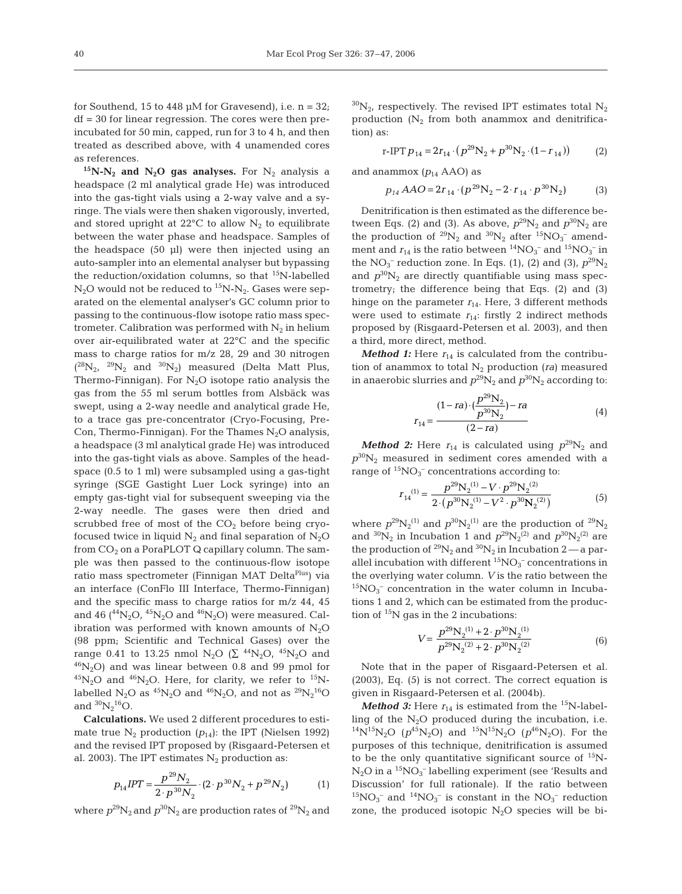for Southend, 15 to 448  $\mu$ M for Gravesend), i.e. n = 32;  $df = 30$  for linear regression. The cores were then preincubated for 50 min, capped, run for 3 to 4 h, and then treated as described above, with 4 unamended cores as references.

 $15N-N_2$  and  $N_2O$  gas analyses. For  $N_2$  analysis a headspace (2 ml analytical grade He) was introduced into the gas-tight vials using a 2-way valve and a syringe. The vials were then shaken vigorously, inverted, and stored upright at  $22^{\circ}$ C to allow N<sub>2</sub> to equilibrate between the water phase and headspace. Samples of the headspace (50 µl) were then injected using an auto-sampler into an elemental analyser but bypassing the reduction/oxidation columns, so that <sup>15</sup>N-labelled  $N_2$ O would not be reduced to  ${}^{15}N-N_2$ . Gases were separated on the elemental analyser's GC column prior to passing to the continuous-flow isotope ratio mass spectrometer. Calibration was performed with  $N_2$  in helium over air-equilibrated water at 22°C and the specific mass to charge ratios for m/z 28, 29 and 30 nitrogen  $(^{28}N_2$ ,  $^{29}N_2$  and  $^{30}N_2$ ) measured (Delta Matt Plus, Thermo-Finnigan). For  $N_2O$  isotope ratio analysis the gas from the 55 ml serum bottles from Alsbäck was swept, using a 2-way needle and analytical grade He, to a trace gas pre-concentrator (Cryo-Focusing, Pre-Con, Thermo-Finnigan). For the Thames  $N_2O$  analysis, a headspace (3 ml analytical grade He) was introduced into the gas-tight vials as above. Samples of the headspace (0.5 to 1 ml) were subsampled using a gas-tight syringe (SGE Gastight Luer Lock syringe) into an empty gas-tight vial for subsequent sweeping via the 2-way needle. The gases were then dried and scrubbed free of most of the  $CO<sub>2</sub>$  before being cryofocused twice in liquid  $N_2$  and final separation of  $N_2O$ from  $CO<sub>2</sub>$  on a PoraPLOT Q capillary column. The sample was then passed to the continuous-flow isotope ratio mass spectrometer (Finnigan MAT Delta<sup>Plus</sup>) via an interface (ConFlo III Interface, Thermo-Finnigan) and the specific mass to charge ratios for m/z 44, 45 and 46 ( $^{44}N_2O$ ,  $^{45}N_2O$  and  $^{46}N_2O$ ) were measured. Calibration was performed with known amounts of  $N_2O$ (98 ppm; Scientific and Technical Gases) over the range 0.41 to 13.25 nmol N<sub>2</sub>O ( $\Sigma$ <sup>44</sup>N<sub>2</sub>O, <sup>45</sup>N<sub>2</sub>O and  $^{46}N_2$ O) and was linear between 0.8 and 99 pmol for  $^{45}N_2$ O and  $^{46}N_2$ O. Here, for clarity, we refer to  $^{15}N$ labelled N<sub>2</sub>O as <sup>45</sup>N<sub>2</sub>O and <sup>46</sup>N<sub>2</sub>O, and not as <sup>29</sup>N<sub>2</sub><sup>16</sup>O and  ${}^{30}N_2{}^{16}O$ .

**Calculations.** We used 2 different procedures to estimate true  $N_2$  production  $(p_{14})$ : the IPT (Nielsen 1992) and the revised IPT proposed by (Risgaard-Petersen et al. 2003). The IPT estimates  $N_2$  production as:

$$
p_{14} IPT = \frac{p^{29} N_2}{2 \cdot p^{30} N_2} \cdot (2 \cdot p^{30} N_2 + p^{29} N_2)
$$
 (1)

where  $p^{29}N_2$  and  $p^{30}N_2$  are production rates of  $2^9N_2$  and

 $^{30}N_{2}$ , respectively. The revised IPT estimates total N<sub>2</sub> production  $(N_2)$  from both anammox and denitrification) as:

$$
\text{r-IPT} \, p_{14} = 2r_{14} \cdot \left( p^{29} \text{N}_2 + p^{30} \text{N}_2 \cdot (1 - r_{14}) \right) \tag{2}
$$

and anammox  $(p_{14}$  AAO) as

$$
p_{14} AAO = 2r_{14} \cdot (p^{29} N_2 - 2 \cdot r_{14} \cdot p^{30} N_2)
$$
 (3)

Denitrification is then estimated as the difference between Eqs. (2) and (3). As above,  $p^{29}N_2$  and  $p^{30}N_2$  are the production of  $^{29}N_2$  and  $^{30}N_2$  after  $^{15}NO_3^-$  amendment and  $r_{14}$  is the ratio between  ${}^{14}NO_3^-$  and  ${}^{15}NO_3^-$  in the  $NO_3^-$  reduction zone. In Eqs. (1), (2) and (3),  $p^{29}N_2$ and  $p^{30}N_2$  are directly quantifiable using mass spectrometry; the difference being that Eqs. (2) and (3) hinge on the parameter  $r_{14}$ . Here, 3 different methods were used to estimate  $r_{14}$ : firstly 2 indirect methods proposed by (Risgaard-Petersen et al. 2003), and then a third, more direct, method.

*Method 1:* Here  $r_{14}$  is calculated from the contribution of anammox to total  $N_2$  production ( $ra$ ) measured in anaerobic slurries and  $p^{29}N_2$  and  $p^{30}N_2$  according to:

$$
r_{14} = \frac{(1 - ra) \cdot (\frac{p^{29}N_2}{p^{30}N_2}) - ra}{(2 - ra)}
$$
(4)

*Method 2:* Here  $r_{14}$  is calculated using  $p^{29}N_2$  and  $p^{30}N_2$  measured in sediment cores amended with a range of  ${}^{15}NO_3^-$  concentrations according to:

$$
r_{14}^{(1)} = \frac{p^{29}N_2^{(1)} - V \cdot p^{29}N_2^{(2)}}{2 \cdot (p^{30}N_2^{(1)} - V^2 \cdot p^{30}N_2^{(2)})}
$$
(5)

where  $p^{29}N_2^{(1)}$  and  $p^{30}N_2^{(1)}$  are the production of  $2^9N_2$ and <sup>30</sup>N<sub>2</sub> in Incubation 1 and  $p^{29}N_2^{(2)}$  and  $p^{30}N_2^{(2)}$  are the production of  $^{29}N_2$  and  $^{30}N_2$  in Incubation 2 — a parallel incubation with different  ${}^{15}NO_3^-$  concentrations in the overlying water column. *V* is the ratio between the  ${}^{15}NO_3^-$  concentration in the water column in Incubations 1 and 2, which can be estimated from the production of  $15N$  gas in the 2 incubations:

$$
V = \frac{p^{29}N_2^{(1)} + 2 \cdot p^{30}N_2^{(1)}}{p^{29}N_2^{(2)} + 2 \cdot p^{30}N_2^{(2)}}
$$
(6)

Note that in the paper of Risgaard-Petersen et al. (2003), Eq. (5) is not correct. The correct equation is given in Risgaard-Petersen et al. (2004b).

*Method 3:* Here  $r_{14}$  is estimated from the <sup>15</sup>N-labelling of the  $N_2O$  produced during the incubation, i.e. <sup>14</sup>N<sup>15</sup>N<sub>2</sub>O ( $p^{45}$ N<sub>2</sub>O) and <sup>15</sup>N<sup>15</sup>N<sub>2</sub>O ( $p^{46}$ N<sub>2</sub>O). For the purposes of this technique, denitrification is assumed to be the only quantitative significant source of  $15N$ - $N_2O$  in a  ${}^{15}NO_3^-$  labelling experiment (see 'Results and Discussion' for full rationale). If the ratio between  $^{15}NO_3^-$  and  $^{14}NO_3^-$  is constant in the  $NO_3^-$  reduction zone, the produced isotopic  $N_2O$  species will be bi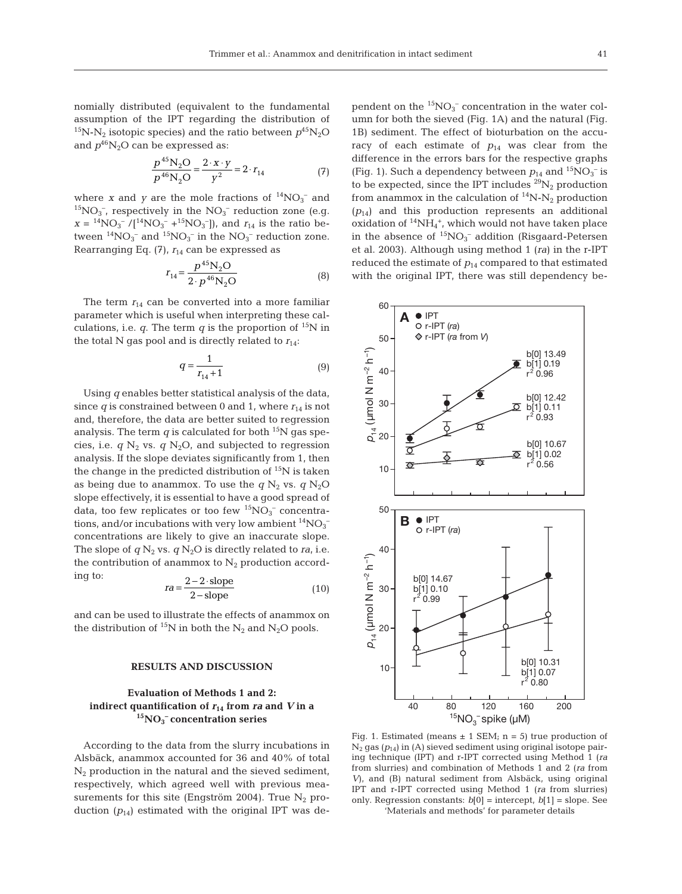nomially distributed (equivalent to the fundamental assumption of the IPT regarding the distribution of <sup>15</sup>N-N<sub>2</sub> isotopic species) and the ratio between  $p^{45}N_2O$ and  $p^{46}N_2O$  can be expressed as:

$$
\frac{p^{45}N_2O}{p^{46}N_2O} = \frac{2 \cdot x \cdot y}{y^2} = 2 \cdot r_{14}
$$
 (7)

where *x* and *y* are the mole fractions of  $^{14}NO_3^-$  and  ${}^{15}NO_3^-$ , respectively in the  $NO_3^-$  reduction zone (e.g.  $x = {}^{14}NO_3^- / [{}^{14}NO_3^- + {}^{15}NO_3^-]$ , and  $r_{14}$  is the ratio between  ${}^{14}NO_3^-$  and  ${}^{15}NO_3^-$  in the  $NO_3^-$  reduction zone. Rearranging Eq. (7),  $r_{14}$  can be expressed as

$$
r_{14} = \frac{p^{45} N_2 O}{2 \cdot p^{46} N_2 O}
$$
 (8)

The term  $r_{14}$  can be converted into a more familiar parameter which is useful when interpreting these calculations, i.e.  $q$ . The term  $q$  is the proportion of <sup>15</sup>N in the total N gas pool and is directly related to  $r_{14}$ :

$$
q = \frac{1}{r_{14} + 1} \tag{9}
$$

Using *q* enables better statistical analysis of the data, since  $q$  is constrained between 0 and 1, where  $r_{14}$  is not and, therefore, the data are better suited to regression analysis. The term  $q$  is calculated for both  $^{15}N$  gas species, i.e.  $q \text{N}_2$  vs.  $q \text{N}_2\text{O}$ , and subjected to regression analysis. If the slope deviates significantly from 1, then the change in the predicted distribution of  $15N$  is taken as being due to anammox. To use the  $q N_2$  vs.  $q N_2O$ slope effectively, it is essential to have a good spread of data, too few replicates or too few  ${}^{15}NO_3^-$  concentrations, and/or incubations with very low ambient  ${}^{14}\text{NO}_3^$ concentrations are likely to give an inaccurate slope. The slope of  $q N_2$  vs.  $q N_2O$  is directly related to *ra*, i.e. the contribution of anammox to  $N_2$  production according to:

$$
ra = \frac{2 - 2 \cdot \text{slope}}{2 - \text{slope}}\tag{10}
$$

and can be used to illustrate the effects of anammox on the distribution of <sup>15</sup>N in both the  $N_2$  and  $N_2O$  pools.

### **RESULTS AND DISCUSSION**

# **Evaluation of Methods 1 and 2: indirect quantification of**  $r_{14}$  **from** *ra* **and** *V* **in a 15NO3 – concentration series**

According to the data from the slurry incubations in Alsbäck, anammox accounted for 36 and 40% of total  $N<sub>2</sub>$  production in the natural and the sieved sediment, respectively, which agreed well with previous measurements for this site (Engström 2004). True  $N_2$  production  $(p_{14})$  estimated with the original IPT was dependent on the  ${}^{15}NO_3^-$  concentration in the water column for both the sieved (Fig. 1A) and the natural (Fig. 1B) sediment. The effect of bioturbation on the accuracy of each estimate of  $p_{14}$  was clear from the difference in the errors bars for the respective graphs (Fig. 1). Such a dependency between  $p_{14}$  and  ${}^{15}NO_3^-$  is to be expected, since the IPT includes  $^{29}N_2$  production from anammox in the calculation of  $^{14}N-N_2$  production  $(p_{14})$  and this production represents an additional oxidation of  $\mathrm{^{14}NH_4^+}$ , which would not have taken place in the absence of  ${}^{15}NO_3^-$  addition (Risgaard-Petersen et al. 2003). Although using method 1 (*ra*) in the r-IPT reduced the estimate of  $p_{14}$  compared to that estimated with the original IPT, there was still dependency be-



Fig. 1. Estimated (means  $\pm$  1 SEM; n = 5) true production of N2 gas (*p*14) in (A) sieved sediment using original isotope pairing technique (IPT) and r-IPT corrected using Method 1 (*ra* from slurries) and combination of Methods 1 and 2 (*ra* from *V*), and (B) natural sediment from Alsbäck, using original IPT and r-IPT corrected using Method 1 (*ra* from slurries) only. Regression constants: *b*[0] = intercept, *b*[1] = slope. See 'Materials and methods' for parameter details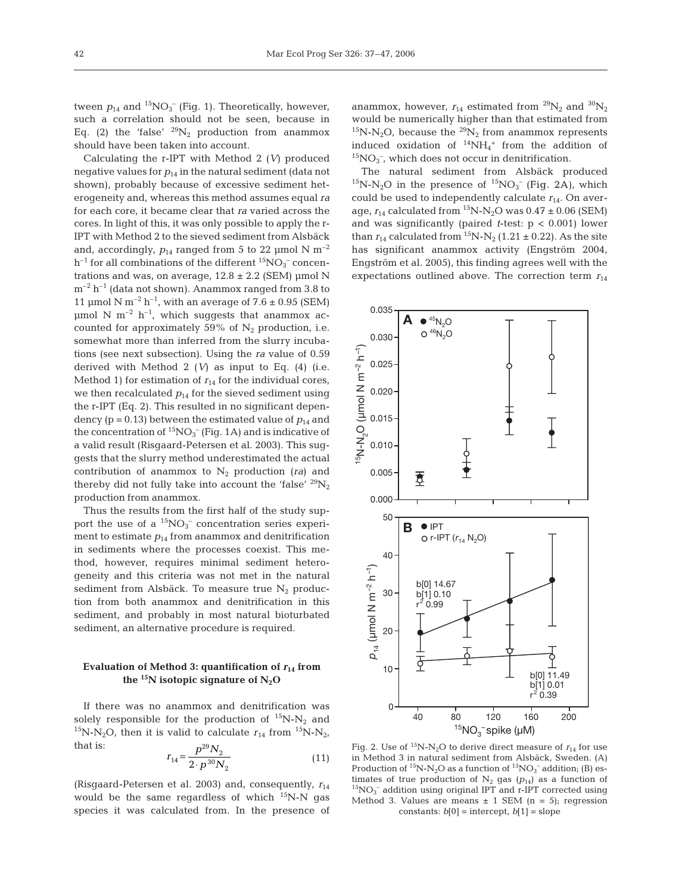tween  $p_{14}$  and  ${}^{15}NO_3^-$  (Fig. 1). Theoretically, however, such a correlation should not be seen, because in Eq. (2) the 'false'  $^{29}N_2$  production from anammox should have been taken into account.

Calculating the r-IPT with Method 2 (*V*) produced negative values for  $p_{14}$  in the natural sediment (data not shown), probably because of excessive sediment heterogeneity and, whereas this method assumes equal *ra* for each core, it became clear that *ra* varied across the cores. In light of this, it was only possible to apply the r-IPT with Method 2 to the sieved sediment from Alsbäck and, accordingly,  $p_{14}$  ranged from 5 to 22 µmol N m<sup>-2</sup>  $h^{-1}$  for all combinations of the different  ${}^{15}NO_3^-$  concentrations and was, on average,  $12.8 \pm 2.2$  (SEM) µmol N  $m^{-2}$  h<sup>-1</sup> (data not shown). Anammox ranged from 3.8 to 11 µmol N m<sup>-2</sup> h<sup>-1</sup>, with an average of 7.6  $\pm$  0.95 (SEM)  $\mu$ mol N m<sup>-2</sup> h<sup>-1</sup>, which suggests that anammox accounted for approximately 59% of  $N_2$  production, i.e. somewhat more than inferred from the slurry incubations (see next subsection). Using the *ra* value of 0.59 derived with Method 2  $(V)$  as input to Eq.  $(4)$  (i.e. Method 1) for estimation of  $r_{14}$  for the individual cores, we then recalculated  $p_{14}$  for the sieved sediment using the r-IPT (Eq. 2). This resulted in no significant dependency ( $p = 0.13$ ) between the estimated value of  $p_{14}$  and the concentration of  ${}^{15}NO_3^-$  (Fig. 1A) and is indicative of a valid result (Risgaard-Petersen et al. 2003). This suggests that the slurry method underestimated the actual contribution of anammox to  $N_2$  production (*ra*) and thereby did not fully take into account the 'false'  $^{29}N_2$ production from anammox.

Thus the results from the first half of the study support the use of a  ${}^{15}NO_3^-$  concentration series experiment to estimate  $p_{14}$  from anammox and denitrification in sediments where the processes coexist. This method, however, requires minimal sediment heterogeneity and this criteria was not met in the natural sediment from Alsbäck. To measure true  $N_2$  production from both anammox and denitrification in this sediment, and probably in most natural bioturbated sediment, an alternative procedure is required.

## **Evaluation of Method 3: quantification of**  $r_{14}$  **from** the  $15N$  isotopic signature of  $N<sub>2</sub>O$

If there was no anammox and denitrification was solely responsible for the production of  $^{15}N-N_2$  and <sup>15</sup>N-N<sub>2</sub>O, then it is valid to calculate  $r_{14}$  from <sup>15</sup>N-N<sub>2</sub>, that is:  $29 - 7$ 

$$
r_{14} = \frac{p^{29} N_2}{2 \cdot p^{30} N_2} \tag{11}
$$

(Risgaard-Petersen et al. 2003) and, consequently,  $r_{14}$ would be the same regardless of which  $^{15}N-N$  gas species it was calculated from. In the presence of anammox, however,  $r_{14}$  estimated from <sup>29</sup>N<sub>2</sub> and <sup>30</sup>N<sub>2</sub> would be numerically higher than that estimated from  $^{15}N-N_2O$ , because the  $^{29}N_2$  from anammox represents induced oxidation of  $^{14}NH_4$ <sup>+</sup> from the addition of  ${}^{15}NO_3^-$ , which does not occur in denitrification.

The natural sediment from Alsbäck produced  $^{15}N-N_2O$  in the presence of  $^{15}NO_3^-$  (Fig. 2A), which could be used to independently calculate  $r_{14}$ . On average,  $r_{14}$  calculated from <sup>15</sup>N-N<sub>2</sub>O was  $0.47 \pm 0.06$  (SEM) and was significantly (paired *t*-test: p < 0.001) lower than  $r_{14}$  calculated from <sup>15</sup>N-N<sub>2</sub> (1.21  $\pm$  0.22). As the site has significant anammox activity (Engström 2004, Engström et al. 2005), this finding agrees well with the expectations outlined above. The correction term  $r_{14}$ 



Fig. 2. Use of <sup>15</sup>N-N<sub>2</sub>O to derive direct measure of  $r_{14}$  for use in Method 3 in natural sediment from Alsbäck, Sweden. (A) Production of <sup>15</sup>N-N<sub>2</sub>O as a function of <sup>15</sup>NO<sub>3</sub><sup>-</sup> addition; (B) estimates of true production of  $N_2$  gas ( $p_{14}$ ) as a function of <sup>15</sup>NO<sub>3</sub><sup>-</sup> addition using original IPT and r-IPT corrected using Method 3. Values are means  $\pm$  1 SEM (n = 5); regression constants:  $b[0]$  = intercept,  $b[1]$  = slope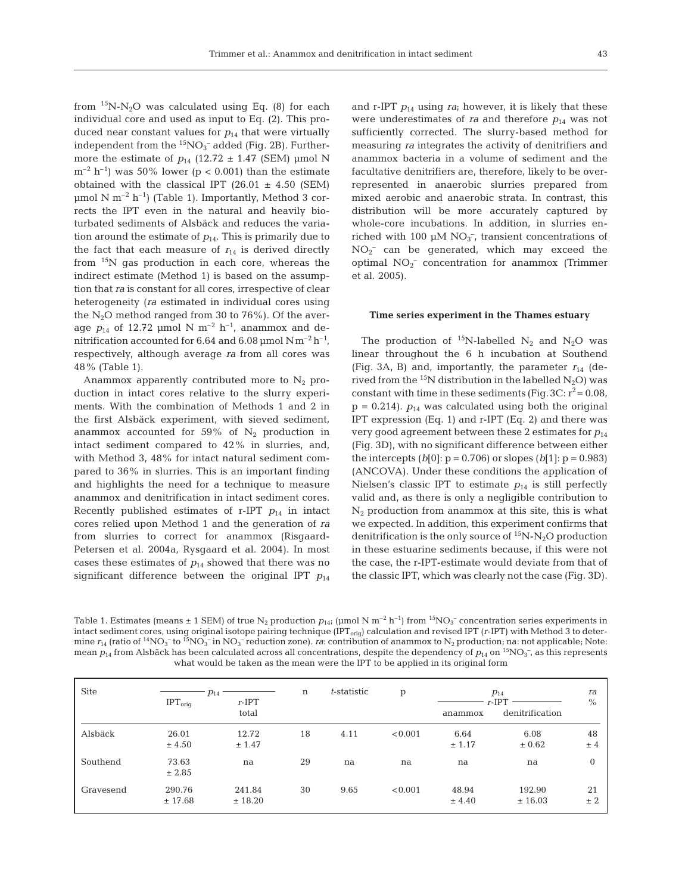from  ${}^{15}N-N_2O$  was calculated using Eq. (8) for each individual core and used as input to Eq. (2). This produced near constant values for  $p_{14}$  that were virtually independent from the  ${}^{15}NO_3^-$  added (Fig. 2B). Furthermore the estimate of  $p_{14}$  (12.72  $\pm$  1.47 (SEM) µmol N  $m^{-2}$  h<sup>-1</sup>) was 50% lower (p < 0.001) than the estimate obtained with the classical IPT  $(26.01 \pm 4.50 \text{ (SEM)}$  $\mu$ mol N m<sup>-2</sup> h<sup>-1</sup>) (Table 1). Importantly, Method 3 corrects the IPT even in the natural and heavily bioturbated sediments of Alsbäck and reduces the variation around the estimate of  $p_{14}$ . This is primarily due to the fact that each measure of  $r_{14}$  is derived directly from  $15N$  gas production in each core, whereas the indirect estimate (Method 1) is based on the assumption that *ra* is constant for all cores, irrespective of clear heterogeneity (*ra* estimated in individual cores using the  $N_2O$  method ranged from 30 to 76%). Of the average  $p_{14}$  of 12.72 µmol N m<sup>-2</sup> h<sup>-1</sup>, anammox and denitrification accounted for 6.64 and 6.08 µmol  $Nm^{-2}h^{-1}$ , respectively, although average *ra* from all cores was 48% (Table 1).

Anammox apparently contributed more to  $N_2$  production in intact cores relative to the slurry experiments. With the combination of Methods 1 and 2 in the first Alsbäck experiment, with sieved sediment, anammox accounted for 59% of  $N_2$  production in intact sediment compared to 42% in slurries, and, with Method 3, 48% for intact natural sediment compared to 36% in slurries. This is an important finding and highlights the need for a technique to measure anammox and denitrification in intact sediment cores. Recently published estimates of  $r$ -IPT  $p_{14}$  in intact cores relied upon Method 1 and the generation of *ra* from slurries to correct for anammox (Risgaard-Petersen et al. 2004a, Rysgaard et al. 2004). In most cases these estimates of  $p_{14}$  showed that there was no significant difference between the original IPT  $p_{14}$ 

and  $r$ -IPT  $p_{14}$  using  $ra$ ; however, it is likely that these were underestimates of *ra* and therefore  $p_{14}$  was not sufficiently corrected. The slurry-based method for measuring *ra* integrates the activity of denitrifiers and anammox bacteria in a volume of sediment and the facultative denitrifiers are, therefore, likely to be overrepresented in anaerobic slurries prepared from mixed aerobic and anaerobic strata. In contrast, this distribution will be more accurately captured by whole-core incubations. In addition, in slurries enriched with 100  $\mu$ M NO<sub>3</sub><sup>-</sup>, transient concentrations of  $NO_2^-$  can be generated, which may exceed the optimal NO2 – concentration for anammox (Trimmer et al. 2005).

#### **Time series experiment in the Thames estuary**

The production of  $^{15}N$ -labelled N<sub>2</sub> and N<sub>2</sub>O was linear throughout the 6 h incubation at Southend (Fig. 3A, B) and, importantly, the parameter  $r_{14}$  (derived from the <sup>15</sup>N distribution in the labelled  $N_2O$ ) was constant with time in these sediments (Fig. 3C:  $r^2$  = 0.08,  $p = 0.214$ ).  $p_{14}$  was calculated using both the original IPT expression (Eq. 1) and r-IPT (Eq. 2) and there was very good agreement between these 2 estimates for  $p_{14}$ (Fig. 3D), with no significant difference between either the intercepts  $(b[0]; p = 0.706)$  or slopes  $(b[1]; p = 0.983)$ (ANCOVA). Under these conditions the application of Nielsen's classic IPT to estimate  $p_{14}$  is still perfectly valid and, as there is only a negligible contribution to  $N_2$  production from anammox at this site, this is what we expected. In addition, this experiment confirms that denitrification is the only source of  ${}^{15}N$ -N<sub>2</sub>O production in these estuarine sediments because, if this were not the case, the r-IPT-estimate would deviate from that of the classic IPT, which was clearly not the case (Fig. 3D).

Table 1. Estimates (means  $\pm$  1 SEM) of true N<sub>2</sub> production  $p_{14}$ ; (µmol N m<sup>-2</sup> h<sup>-1</sup>) from <sup>15</sup>NO<sub>3</sub><sup>-</sup> concentration series experiments in intact sediment cores, using original isotope pairing technique (IPT<sub>orig</sub>) calculation and revised IPT (*r*-IPT) with Method 3 to determine  $r_{14}$  (ratio of <sup>14</sup>NO<sub>3</sub><sup>-</sup> to <sup>15</sup>NO<sub>3</sub><sup>-</sup> in NO<sub>3</sub><sup>-</sup> reduction zone). *ra*: contribution of anammox to N<sub>2</sub> production; na: not applicable; Note: mean  $p_{14}$  from Alsbäck has been calculated across all concentrations, despite the dependency of  $p_{14}$  on  $^{15}$ NO<sub>3</sub><sup>-</sup>, as this represents what would be taken as the mean were the IPT to be applied in its original form

| Site      | $p_{14}$<br>$IPT_{\text{orig}}$<br>$r$ -IPT |                   | $\mathbf n$ | t-statistic | p       | $p_{14}$<br>$r$ -IPT |                    | ra<br>$\%$ |
|-----------|---------------------------------------------|-------------------|-------------|-------------|---------|----------------------|--------------------|------------|
|           |                                             | total             |             |             |         | anammox              | denitrification    |            |
| Alsbäck   | 26.01<br>± 4.50                             | 12.72<br>± 1.47   | 18          | 4.11        | < 0.001 | 6.64<br>± 1.17       | 6.08<br>$\pm 0.62$ | 48<br>± 4  |
| Southend  | 73.63<br>± 2.85                             | na                | 29          | na          | na      | na                   | na                 | $\Omega$   |
| Gravesend | 290.76<br>± 17.68                           | 241.84<br>± 18.20 | 30          | 9.65        | < 0.001 | 48.94<br>± 4.40      | 192.90<br>± 16.03  | 21<br>± 2  |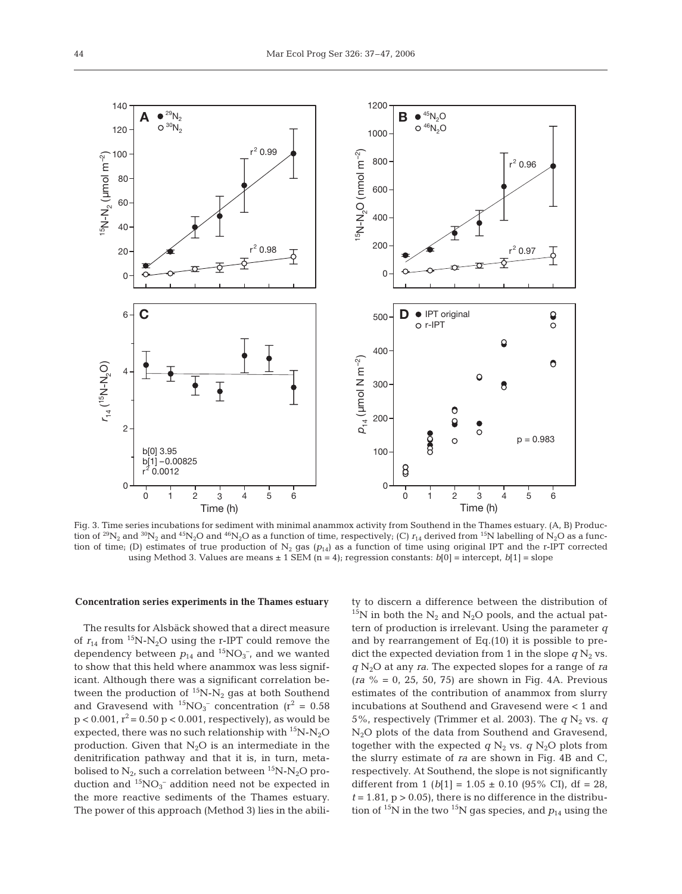

Fig. 3. Time series incubations for sediment with minimal anammox activity from Southend in the Thames estuary. (A, B) Production of <sup>29</sup>N<sub>2</sub> and <sup>30</sup>N<sub>2</sub> and <sup>45</sup>N<sub>2</sub>O and <sup>46</sup>N<sub>2</sub>O as a function of time, respectively; (C)  $r_{14}$  derived from <sup>15</sup>N labelling of N<sub>2</sub>O as a function of time; (D) estimates of true production of  $N_2$  gas  $(p_{14})$  as a function of time using original IPT and the r-IPT corrected using Method 3. Values are means  $\pm 1$  SEM (n = 4); regression constants:  $b[0]$  = intercept,  $b[1]$  = slope

## **Concentration series experiments in the Thames estuary**

The results for Alsbäck showed that a direct measure of  $r_{14}$  from <sup>15</sup>N-N<sub>2</sub>O using the r-IPT could remove the dependency between  $p_{14}$  and  ${}^{15}NO_3^-$ , and we wanted to show that this held where anammox was less significant. Although there was a significant correlation between the production of  ${}^{15}N-N_2$  gas at both Southend and Gravesend with  ${}^{15}NO_3^-$  concentration (r<sup>2</sup> = 0.58)  $p < 0.001$ ,  $r^2 = 0.50$   $p < 0.001$ , respectively), as would be expected, there was no such relationship with  ${}^{15}N\text{-}N_2O$ production. Given that  $N_2O$  is an intermediate in the denitrification pathway and that it is, in turn, metabolised to  $N_{2}$ , such a correlation between  ${}^{15}N$ - $N_2O$  production and  ${}^{15}NO_3^-$  addition need not be expected in the more reactive sediments of the Thames estuary. The power of this approach (Method 3) lies in the ability to discern a difference between the distribution of  $^{15}N$  in both the N<sub>2</sub> and N<sub>2</sub>O pools, and the actual pattern of production is irrelevant. Using the parameter *q* and by rearrangement of Eq.(10) it is possible to predict the expected deviation from 1 in the slope  $q N_2$  vs. *q* N2O at any *ra*. The expected slopes for a range of *ra* (*ra* % = 0, 25, 50, 75) are shown in Fig. 4A. Previous estimates of the contribution of anammox from slurry incubations at Southend and Gravesend were < 1 and 5%, respectively (Trimmer et al. 2003). The  $q N_2$  vs.  $q$  $N<sub>2</sub>O$  plots of the data from Southend and Gravesend, together with the expected  $q$  N<sub>2</sub> vs.  $q$  N<sub>2</sub>O plots from the slurry estimate of *ra* are shown in Fig. 4B and C, respectively. At Southend, the slope is not significantly different from 1 ( $b[1] = 1.05 \pm 0.10$  (95% CI), df = 28,  $t = 1.81$ ,  $p > 0.05$ , there is no difference in the distribution of  $^{15}N$  in the two  $^{15}N$  gas species, and  $p_{14}$  using the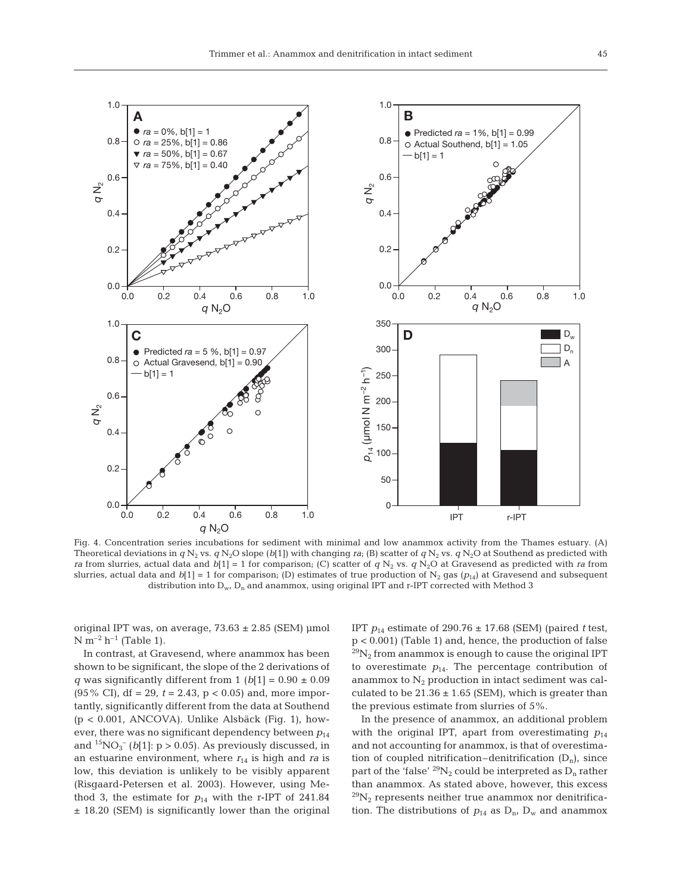

Fig. 4. Concentration series incubations for sediment with minimal and low anammox activity from the Thames estuary. (A) Theoretical deviations in  $qN_2$  vs.  $qN_2O$  slope (*b*[1]) with changing *ra*; (B) scatter of  $qN_2$  vs.  $qN_2O$  at Southend as predicted with *ra* from slurries, actual data and  $b[1] = 1$  for comparison; (C) scatter of  $q N_2$  vs.  $q N_2O$  at Gravesend as predicted with *ra* from slurries, actual data and  $b[1] = 1$  for comparison; (D) estimates of true production of N<sub>2</sub> gas ( $p_{14}$ ) at Gravesend and subsequent distribution into  $D_{w}$ ,  $D_n$  and anammox, using original IPT and r-IPT corrected with Method 3

original IPT was, on average,  $73.63 \pm 2.85$  (SEM) µmol  $N m^{-2} h^{-1}$  (Table 1).

In contrast, at Gravesend, where anammox has been shown to be significant, the slope of the 2 derivations of *q* was significantly different from 1 ( $b[1] = 0.90 \pm 0.09$ (95% CI), df = 29, *t* = 2.43, p < 0.05) and, more importantly, significantly different from the data at Southend (p < 0.001, ANCOVA). Unlike Alsbäck (Fig. 1), however, there was no significant dependency between  $p_{14}$ and  ${}^{15}NO_3^-$  (*b*[1]:  $p > 0.05$ ). As previously discussed, in an estuarine environment, where  $r_{14}$  is high and *ra* is low, this deviation is unlikely to be visibly apparent (Risgaard-Petersen et al. 2003). However, using Method 3, the estimate for  $p_{14}$  with the r-IPT of 241.84 ± 18.20 (SEM) is significantly lower than the original

IPT *p*<sup>14</sup> estimate of 290.76 ± 17.68 (SEM) (paired *t* test, p < 0.001) (Table 1) and, hence, the production of false  $^{29}{\rm N}_2$  from anammox is enough to cause the original IPT to overestimate  $p_{14}$ . The percentage contribution of anammox to  $N<sub>2</sub>$  production in intact sediment was calculated to be  $21.36 \pm 1.65$  (SEM), which is greater than the previous estimate from slurries of 5%.

In the presence of anammox, an additional problem with the original IPT, apart from overestimating  $p_{14}$ and not accounting for anammox, is that of overestimation of coupled nitrification–denitrification  $(D_n)$ , since part of the 'false' <sup>29</sup>N<sub>2</sub> could be interpreted as  $D_n$  rather than anammox. As stated above, however, this excess  $^{29}N_2$  represents neither true anammox nor denitrification. The distributions of  $p_{14}$  as  $D_{n}$ ,  $D_{w}$  and anammox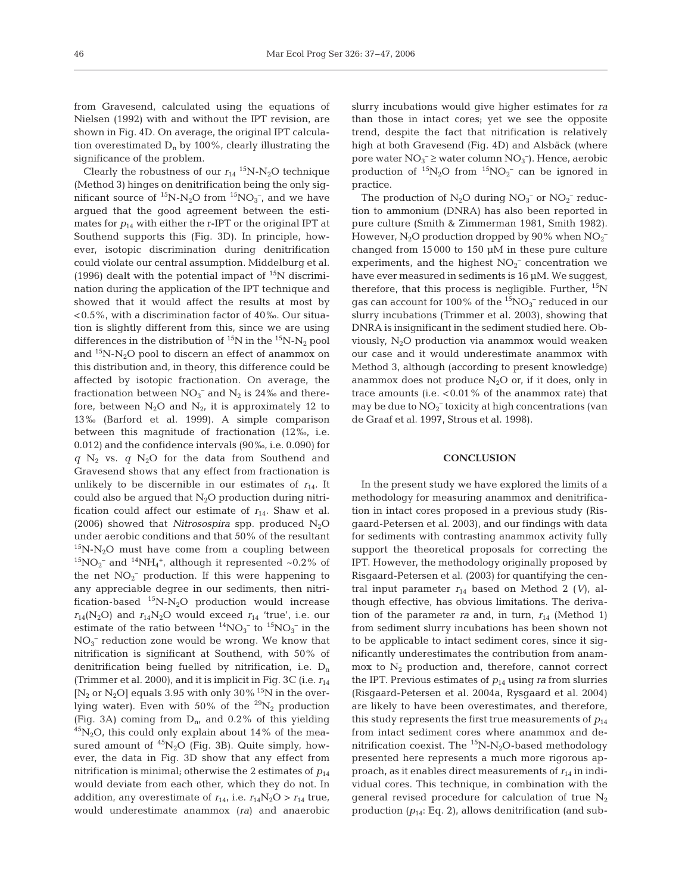from Gravesend, calculated using the equations of Nielsen (1992) with and without the IPT revision, are shown in Fig. 4D. On average, the original IPT calculation overestimated  $D_n$  by 100%, clearly illustrating the significance of the problem.

Clearly the robustness of our  $r_{14}$  <sup>15</sup>N-N<sub>2</sub>O technique (Method 3) hinges on denitrification being the only significant source of  $^{15}N-N_2O$  from  $^{15}NO_3^-$ , and we have argued that the good agreement between the estimates for  $p_{14}$  with either the r-IPT or the original IPT at Southend supports this (Fig. 3D). In principle, however, isotopic discrimination during denitrification could violate our central assumption. Middelburg et al. (1996) dealt with the potential impact of  $^{15}N$  discrimination during the application of the IPT technique and showed that it would affect the results at most by <0.5%, with a discrimination factor of 40‰. Our situation is slightly different from this, since we are using differences in the distribution of  $^{15}N$  in the  $^{15}N$ -N<sub>2</sub> pool and  $15N-N<sub>2</sub>O$  pool to discern an effect of anammox on this distribution and, in theory, this difference could be affected by isotopic fractionation. On average, the fractionation between  $NO_3^-$  and  $N_2$  is 24‰ and therefore, between  $N_2O$  and  $N_2$ , it is approximately 12 to 13‰ (Barford et al. 1999). A simple comparison between this magnitude of fractionation (12‰, i.e. 0.012) and the confidence intervals (90‰, i.e. 0.090) for  $q$  N<sub>2</sub> vs.  $q$  N<sub>2</sub>O for the data from Southend and Gravesend shows that any effect from fractionation is unlikely to be discernible in our estimates of  $r_{14}$ . It could also be argued that  $N_2O$  production during nitrification could affect our estimate of  $r_{14}$ . Shaw et al. (2006) showed that *Nitrosospira* spp. produced  $N_2O$ under aerobic conditions and that 50% of the resultant  $15N-N<sub>2</sub>O$  must have come from a coupling between  $^{15}NO_2^-$  and  $^{14}NH_4^+$ , although it represented ~0.2% of the net  $NO<sub>2</sub><sup>-</sup>$  production. If this were happening to any appreciable degree in our sediments, then nitrification-based  $^{15}N-N_2O$  production would increase  $r_{14}(N_2O)$  and  $r_{14}N_2O$  would exceed  $r_{14}$  'true', i.e. our estimate of the ratio between  ${}^{14}NO_3^-$  to  ${}^{15}NO_3^-$  in the NO3 – reduction zone would be wrong. We know that nitrification is significant at Southend, with 50% of denitrification being fuelled by nitrification, i.e.  $D_n$ (Trimmer et al. 2000), and it is implicit in Fig. 3C (i.e.  $r_{14}$ ) [N<sub>2</sub> or N<sub>2</sub>O] equals 3.95 with only 30% <sup>15</sup>N in the overlying water). Even with 50% of the  $^{29}N_2$  production (Fig. 3A) coming from  $D_{n}$ , and 0.2% of this yielding  ${}^{45}N_2$ O, this could only explain about 14% of the measured amount of  ${}^{45}N_2O$  (Fig. 3B). Quite simply, however, the data in Fig. 3D show that any effect from nitrification is minimal; otherwise the 2 estimates of  $p_{14}$ would deviate from each other, which they do not. In addition, any overestimate of  $r_{14}$ , i.e.  $r_{14}N_2O > r_{14}$  true, would underestimate anammox (*ra*) and anaerobic

slurry incubations would give higher estimates for *ra* than those in intact cores; yet we see the opposite trend, despite the fact that nitrification is relatively high at both Gravesend (Fig. 4D) and Alsbäck (where pore water  $NO_3^ \geq$  water column  $NO_3^-$ ). Hence, aerobic production of  ${}^{15}N_2O$  from  ${}^{15}NO_2^-$  can be ignored in practice.

The production of  $N_2O$  during  $NO_3^-$  or  $NO_2^-$  reduction to ammonium (DNRA) has also been reported in pure culture (Smith & Zimmerman 1981, Smith 1982). However,  $N_2O$  production dropped by  $90\%$  when  $NO_2^$ changed from 15 000 to 150 µM in these pure culture experiments, and the highest  $NO<sub>2</sub><sup>-</sup>$  concentration we have ever measured in sediments is 16  $\mu$ M. We suggest, therefore, that this process is negligible. Further,  $^{15}N$ gas can account for  $100\%$  of the  ${}^{15}NO_3^-$  reduced in our slurry incubations (Trimmer et al. 2003), showing that DNRA is insignificant in the sediment studied here. Obviously,  $N_2O$  production via anammox would weaken our case and it would underestimate anammox with Method 3, although (according to present knowledge) anammox does not produce  $N_2O$  or, if it does, only in trace amounts (i.e.  $< 0.01\%$  of the anammox rate) that may be due to  $NO<sub>2</sub><sup>-</sup>$  toxicity at high concentrations (van de Graaf et al. 1997, Strous et al. 1998).

## **CONCLUSION**

In the present study we have explored the limits of a methodology for measuring anammox and denitrification in intact cores proposed in a previous study (Risgaard-Petersen et al. 2003), and our findings with data for sediments with contrasting anammox activity fully support the theoretical proposals for correcting the IPT. However, the methodology originally proposed by Risgaard-Petersen et al. (2003) for quantifying the central input parameter  $r_{14}$  based on Method 2 (V), although effective, has obvious limitations. The derivation of the parameter *ra* and, in turn,  $r_{14}$  (Method 1) from sediment slurry incubations has been shown not to be applicable to intact sediment cores, since it significantly underestimates the contribution from anammox to  $N_2$  production and, therefore, cannot correct the IPT. Previous estimates of  $p_{14}$  using *ra* from slurries (Risgaard-Petersen et al. 2004a, Rysgaard et al. 2004) are likely to have been overestimates, and therefore, this study represents the first true measurements of  $p_{14}$ from intact sediment cores where anammox and denitrification coexist. The  ${}^{15}N-N_2O$ -based methodology presented here represents a much more rigorous approach, as it enables direct measurements of  $r_{14}$  in individual cores. This technique, in combination with the general revised procedure for calculation of true  $N_2$ production  $(p_{14}:$  Eq. 2), allows denitrification (and sub